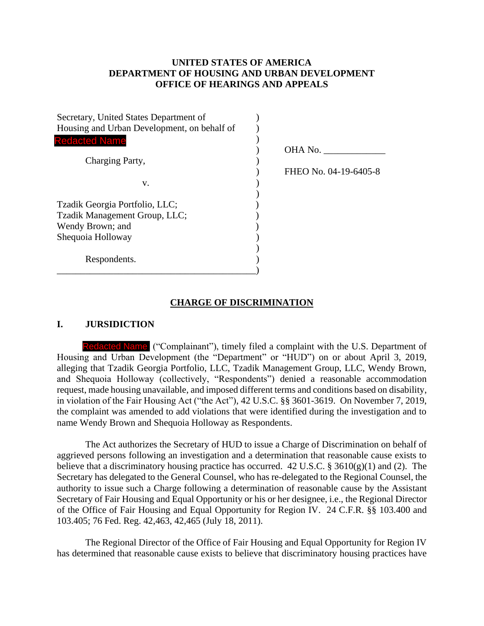## **UNITED STATES OF AMERICA DEPARTMENT OF HOUSING AND URBAN DEVELOPMENT OFFICE OF HEARINGS AND APPEALS**

| Secretary, United States Department of      |                       |
|---------------------------------------------|-----------------------|
| Housing and Urban Development, on behalf of |                       |
| <b>Redacted Name</b>                        |                       |
|                                             | OHA No.               |
| Charging Party,                             |                       |
|                                             | FHEO No. 04-19-6405-8 |
| V.                                          |                       |
|                                             |                       |
| Tzadik Georgia Portfolio, LLC;              |                       |
| Tzadik Management Group, LLC;               |                       |
| Wendy Brown; and                            |                       |
| Shequoia Holloway                           |                       |
|                                             |                       |
| Respondents.                                |                       |
|                                             |                       |

### **CHARGE OF DISCRIMINATION**

#### **I. JURSIDICTION**

Redacted Name ("Complainant"), timely filed a complaint with the U.S. Department of Housing and Urban Development (the "Department" or "HUD") on or about April 3, 2019, alleging that Tzadik Georgia Portfolio, LLC, Tzadik Management Group, LLC, Wendy Brown, and Shequoia Holloway (collectively, "Respondents") denied a reasonable accommodation request, made housing unavailable, and imposed different terms and conditions based on disability, in violation of the Fair Housing Act ("the Act"), 42 U.S.C. §§ 3601-3619. On November 7, 2019, the complaint was amended to add violations that were identified during the investigation and to name Wendy Brown and Shequoia Holloway as Respondents.

The Act authorizes the Secretary of HUD to issue a Charge of Discrimination on behalf of aggrieved persons following an investigation and a determination that reasonable cause exists to believe that a discriminatory housing practice has occurred. 42 U.S.C. §  $3610(g)(1)$  and (2). The Secretary has delegated to the General Counsel, who has re-delegated to the Regional Counsel, the authority to issue such a Charge following a determination of reasonable cause by the Assistant Secretary of Fair Housing and Equal Opportunity or his or her designee, i.e., the Regional Director of the Office of Fair Housing and Equal Opportunity for Region IV. 24 C.F.R. §§ 103.400 and 103.405; 76 Fed. Reg. 42,463, 42,465 (July 18, 2011).

The Regional Director of the Office of Fair Housing and Equal Opportunity for Region IV has determined that reasonable cause exists to believe that discriminatory housing practices have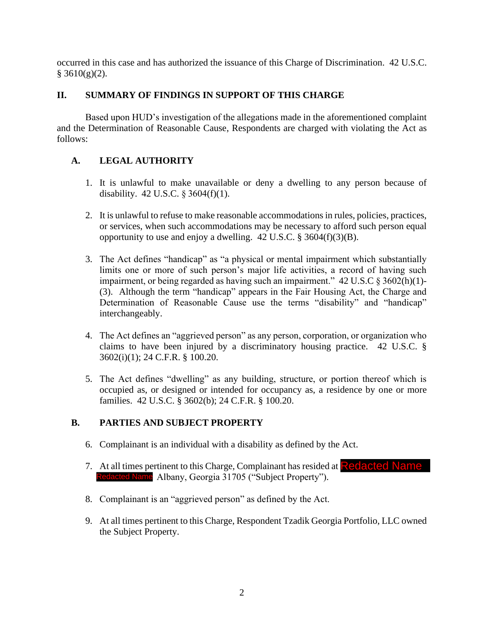occurred in this case and has authorized the issuance of this Charge of Discrimination. 42 U.S.C.  $§$  3610(g)(2).

# **II. SUMMARY OF FINDINGS IN SUPPORT OF THIS CHARGE**

Based upon HUD's investigation of the allegations made in the aforementioned complaint and the Determination of Reasonable Cause, Respondents are charged with violating the Act as follows:

# **A. LEGAL AUTHORITY**

- 1. It is unlawful to make unavailable or deny a dwelling to any person because of disability. 42 U.S.C. § 3604(f)(1).
- 2. It is unlawful to refuse to make reasonable accommodations in rules, policies, practices, or services, when such accommodations may be necessary to afford such person equal opportunity to use and enjoy a dwelling.  $42 \text{ U.S.C.}$  §  $3604 \text{(f)}(3)$ (B).
- 3. The Act defines "handicap" as "a physical or mental impairment which substantially limits one or more of such person's major life activities, a record of having such impairment, or being regarded as having such an impairment." 42 U.S.C § 3602(h)(1)- (3). Although the term "handicap" appears in the Fair Housing Act, the Charge and Determination of Reasonable Cause use the terms "disability" and "handicap" interchangeably.
- 4. The Act defines an "aggrieved person" as any person, corporation, or organization who claims to have been injured by a discriminatory housing practice. 42 U.S.C. § 3602(i)(1); 24 C.F.R. § 100.20.
- 5. The Act defines "dwelling" as any building, structure, or portion thereof which is occupied as, or designed or intended for occupancy as, a residence by one or more families. 42 U.S.C. § 3602(b); 24 C.F.R. § 100.20.

## **B. PARTIES AND SUBJECT PROPERTY**

- 6. Complainant is an individual with a disability as defined by the Act.
- 7. At all times pertinent to this Charge, Complainant has resided at **Redacted Name** Redacted Name Albany, Georgia 31705 ("Subject Property").
- 8. Complainant is an "aggrieved person" as defined by the Act.
- 9. At all times pertinent to this Charge, Respondent Tzadik Georgia Portfolio, LLC owned the Subject Property.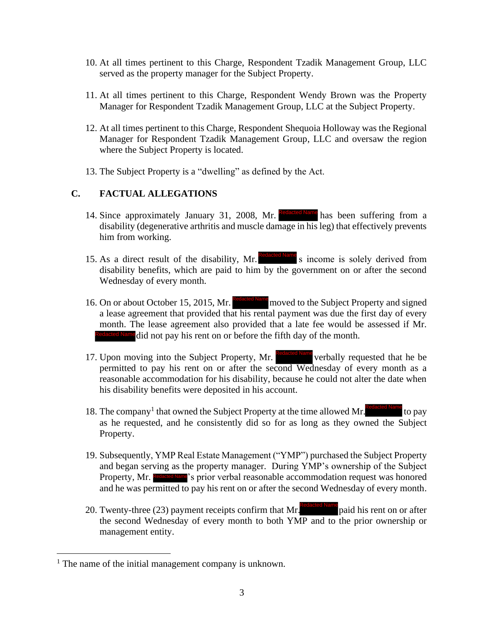- 10. At all times pertinent to this Charge, Respondent Tzadik Management Group, LLC served as the property manager for the Subject Property.
- 11. At all times pertinent to this Charge, Respondent Wendy Brown was the Property Manager for Respondent Tzadik Management Group, LLC at the Subject Property.
- 12. At all times pertinent to this Charge, Respondent Shequoia Holloway was the Regional Manager for Respondent Tzadik Management Group, LLC and oversaw the region where the Subject Property is located.
- 13. The Subject Property is a "dwelling" as defined by the Act.

## **C. FACTUAL ALLEGATIONS**

- 14. Since approximately January 31, 2008, Mr. **Redacted Name** has been suffering from a disability (degenerative arthritis and muscle damage in his leg) that effectively prevents him from working.
- 15. As a direct result of the disability, Mr. Redacted Name s income is solely derived from disability benefits, which are paid to him by the government on or after the second Wednesday of every month.
- 16. On or about October 15, 2015, Mr. Redacted Name moved to the Subject Property and signed a lease agreement that provided that his rental payment was due the first day of every month. The lease agreement also provided that a late fee would be assessed if Mr. **Redacted Name** did not pay his rent on or before the fifth day of the month.
- 17. Upon moving into the Subject Property, Mr. Redacted Name verbally requested that he be permitted to pay his rent on or after the second Wednesday of every month as a reasonable accommodation for his disability, because he could not alter the date when his disability benefits were deposited in his account.
- 18. The company<sup>1</sup> that owned the Subject Property at the time allowed Mr. Redacted Name to pay as he requested, and he consistently did so for as long as they owned the Subject Property.
- 19. Subsequently, YMP Real Estate Management ("YMP") purchased the Subject Property and began serving as the property manager. During YMP's ownership of the Subject Property, Mr. Redacted Name's prior verbal reasonable accommodation request was honored and he was permitted to pay his rent on or after the second Wednesday of every month. Redacted Name<sup>2</sup>'s prior verbal reasonable accommodation<br>rmitted to pay his rent on or after the second Wed
- 20. Twenty-three (23) payment receipts confirm that Mr. paid his rent on or after the second Wednesday of every month to both YMP and to the prior ownership or management entity.

<sup>&</sup>lt;sup>1</sup> The name of the initial management company is unknown.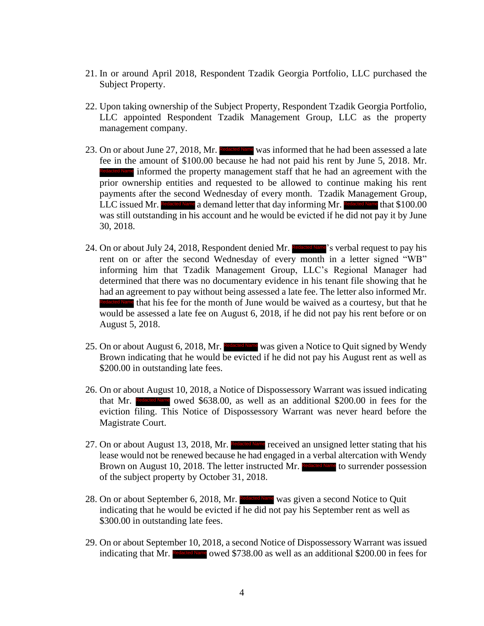- 21. In or around April 2018, Respondent Tzadik Georgia Portfolio, LLC purchased the Subject Property.
- 22. Upon taking ownership of the Subject Property, Respondent Tzadik Georgia Portfolio, LLC appointed Respondent Tzadik Management Group, LLC as the property management company.
- 23. On or about June 27, 2018, Mr. Redacted Name was informed that he had been assessed a late fee in the amount of \$100.00 because he had not paid his rent by June 5, 2018. Mr. Reclared Name informed the property management staff that he had an agreement with the prior ownership entities and requested to be allowed to continue making his rent payments after the second Wednesday of every month. Tzadik Management Group, LLC issued Mr. Redacted Name a demand letter that day informing Mr. Redacted Name that \$100.00 was still outstanding in his account and he would be evicted if he did not pay it by June 30, 2018. Redacted Name informed the property management staff that he had an agreem<br>prior ownership entities and requested to be allowed to continue mak<br>payments after the second Wednesday of every month. Tzadik Manage<br>LLC issued M
- 24. On or about July 24, 2018, Respondent denied Mr. Redacted Name's verbal request to pay his rent on or after the second Wednesday of every month in a letter signed "WB" informing him that Tzadik Management Group, LLC's Regional Manager had determined that there was no documentary evidence in his tenant file showing that he had an agreement to pay without being assessed a late fee. The letter also informed Mr. Redacted Name that his fee for the month of June would be waived as a courtesy, but that he would be assessed a late fee on August 6, 2018, if he did not pay his rent before or on August 5, 2018. Redacted Name</sup> that his fee for the month of Jun<br>would be assessed a late fee on August 6,<br>August 5, 2018.<br>On or about August 6, 2018. Mr. Redacted Name
- 25. On or about August 6, 2018, Mr. Recaded Name was given a Notice to Quit signed by Wendy Brown indicating that he would be evicted if he did not pay his August rent as well as \$200.00 in outstanding late fees.
- 26. On or about August 10, 2018, a Notice of Dispossessory Warrant was issued indicating that Mr. Redacted Name owed \$638.00, as well as an additional \$200.00 in fees for the eviction filing. This Notice of Dispossessory Warrant was never heard before the Magistrate Court.
- 27. On or about August 13, 2018, Mr. Redacted Name received an unsigned letter stating that his lease would not be renewed because he had engaged in a verbal altercation with Wendy Brown on August 10, 2018. The letter instructed Mr. Redacted Name to surrender possession of the subject property by October 31, 2018.
- 28. On or about September 6, 2018, Mr. Redacted Name was given a second Notice to Quit indicating that he would be evicted if he did not pay his September rent as well as \$300.00 in outstanding late fees.
- 29. On or about September 10, 2018, a second Notice of Dispossessory Warrant was issued indicating that Mr. Redacted Name owed \$738.00 as well as an additional \$200.00 in fees for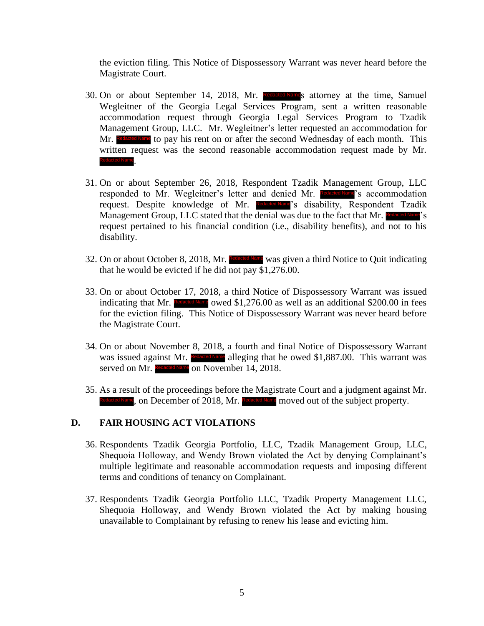the eviction filing. This Notice of Dispossessory Warrant was never heard before the Magistrate Court.

- 30. On or about September 14, 2018, Mr. Redacted Names attorney at the time, Samuel Wegleitner of the Georgia Legal Services Program, sent a written reasonable accommodation request through Georgia Legal Services Program to Tzadik Management Group, LLC. Mr. Wegleitner's letter requested an accommodation for Mr. Redacted Name to pay his rent on or after the second Wednesday of each month. This written request was the second reasonable accommodation request made by Mr. . Redacted Name
- 31. On or about September 26, 2018, Respondent Tzadik Management Group, LLC responded to Mr. Wegleitner's letter and denied Mr. Redacted Name's accommodation request. Despite knowledge of Mr. Redacted Name's disability, Respondent Tzadik Management Group, LLC stated that the denial was due to the fact that Mr. Redacted Name's request pertained to his financial condition (i.e., disability benefits), and not to his disability.
- 32. On or about October 8, 2018, Mr. Redacted Name was given a third Notice to Quit indicating that he would be evicted if he did not pay \$1,276.00.
- 33. On or about October 17, 2018, a third Notice of Dispossessory Warrant was issued indicating that Mr. Redacted Name owed  $$1,276.00$  as well as an additional  $$200.00$  in fees for the eviction filing. This Notice of Dispossessory Warrant was never heard before the Magistrate Court.
- 34. On or about November 8, 2018, a fourth and final Notice of Dispossessory Warrant was issued against Mr. Redacted Name alleging that he owed \$1,887.00. This warrant was served on Mr. Redacted Name on November 14, 2018.
- 35. As a result of the proceedings before the Magistrate Court and a judgment against Mr. Redacted Name, on December of 2018, Mr. Redacted Name moved out of the subject property.

### **D. FAIR HOUSING ACT VIOLATIONS**

- 36. Respondents Tzadik Georgia Portfolio, LLC, Tzadik Management Group, LLC, Shequoia Holloway, and Wendy Brown violated the Act by denying Complainant's multiple legitimate and reasonable accommodation requests and imposing different terms and conditions of tenancy on Complainant.
- 37. Respondents Tzadik Georgia Portfolio LLC, Tzadik Property Management LLC, Shequoia Holloway, and Wendy Brown violated the Act by making housing unavailable to Complainant by refusing to renew his lease and evicting him.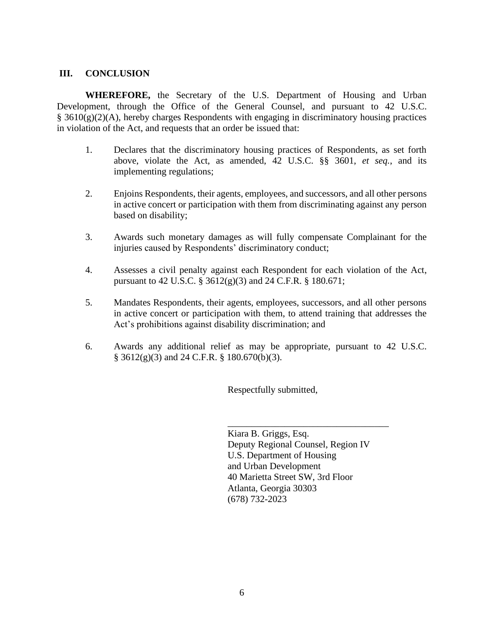### **III. CONCLUSION**

**WHEREFORE,** the Secretary of the U.S. Department of Housing and Urban Development, through the Office of the General Counsel, and pursuant to 42 U.S.C. § 3610(g)(2)(A), hereby charges Respondents with engaging in discriminatory housing practices in violation of the Act, and requests that an order be issued that:

- 1. Declares that the discriminatory housing practices of Respondents, as set forth above, violate the Act, as amended, 42 U.S.C. §§ 3601, *et seq.*, and its implementing regulations;
- 2. Enjoins Respondents, their agents, employees, and successors, and all other persons in active concert or participation with them from discriminating against any person based on disability;
- 3. Awards such monetary damages as will fully compensate Complainant for the injuries caused by Respondents' discriminatory conduct;
- 4. Assesses a civil penalty against each Respondent for each violation of the Act, pursuant to 42 U.S.C. § 3612(g)(3) and 24 C.F.R. § 180.671;
- 5. Mandates Respondents, their agents, employees, successors, and all other persons in active concert or participation with them, to attend training that addresses the Act's prohibitions against disability discrimination; and
- 6. Awards any additional relief as may be appropriate, pursuant to 42 U.S.C. § 3612(g)(3) and 24 C.F.R. § 180.670(b)(3).

Respectfully submitted,

Kiara B. Griggs, Esq. Deputy Regional Counsel, Region IV U.S. Department of Housing and Urban Development 40 Marietta Street SW, 3rd Floor Atlanta, Georgia 30303 (678) 732-2023

\_\_\_\_\_\_\_\_\_\_\_\_\_\_\_\_\_\_\_\_\_\_\_\_\_\_\_\_\_\_\_\_\_\_